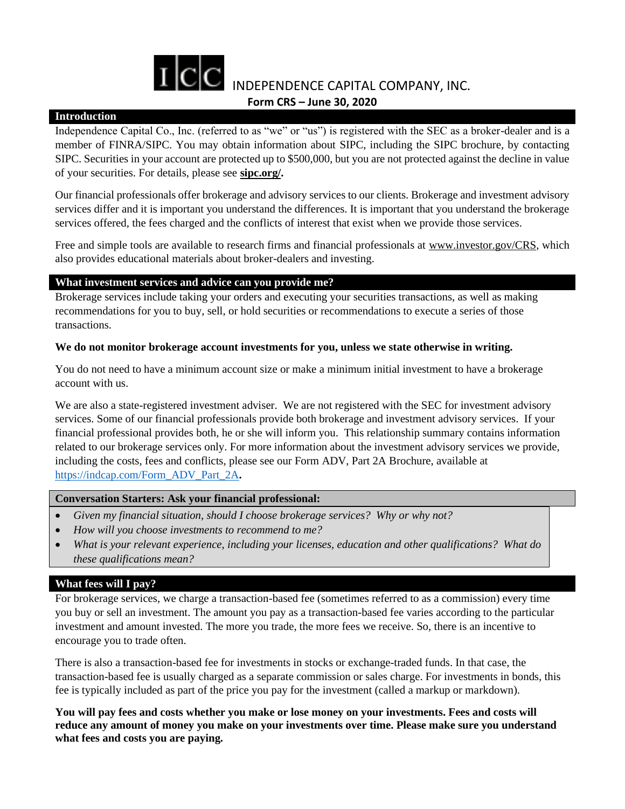

#### **Introduction**

Independence Capital Co., Inc. (referred to as "we" or "us") is registered with the SEC as a broker-dealer and is a member of FINRA/SIPC. You may obtain information about SIPC, including the SIPC brochure, by contacting SIPC. Securities in your account are protected up to \$500,000, but you are not protected against the decline in value of your securities. For details, please see **[sipc.org/.](https://www.sipc.org/)**

Our financial professionals offer brokerage and advisory services to our clients. Brokerage and investment advisory services differ and it is important you understand the differences. It is important that you understand the brokerage services offered, the fees charged and the conflicts of interest that exist when we provide those services.

Free and simple tools are available to research firms and financial professionals at [www.investor.gov/CRS,](http://www.investor.gov/CRS) which also provides educational materials about broker-dealers and investing.

## **What investment services and advice can you provide me?**

Brokerage services include taking your orders and executing your securities transactions, as well as making recommendations for you to buy, sell, or hold securities or recommendations to execute a series of those transactions.

### **We do not monitor brokerage account investments for you, unless we state otherwise in writing.**

You do not need to have a minimum account size or make a minimum initial investment to have a brokerage account with us.

We are also a state-registered investment adviser. We are not registered with the SEC for investment advisory services. Some of our financial professionals provide both brokerage and investment advisory services. If your financial professional provides both, he or she will inform you. This relationship summary contains information related to our brokerage services only. For more information about the investment advisory services we provide, including the costs, fees and conflicts, please see our Form ADV, Part 2A Brochure, available at [https://in](https://files.adviserinfo.sec.gov/IAPD/Content/Common/crd_iapd_Brochure.aspx?BRCHR_VRSN_ID=613883)dcap.com/Form\_ADV\_Part\_2A**.**

### **Conversation Starters: Ask your financial professional:**

- *Given my financial situation, should I choose brokerage services? Why or why not?*
- *How will you choose investments to recommend to me?*
- *What is your relevant experience, including your licenses, education and other qualifications? What do these qualifications mean?*

# **What fees will I pay?**

For brokerage services, we charge a transaction-based fee (sometimes referred to as a commission) every time you buy or sell an investment. The amount you pay as a transaction-based fee varies according to the particular investment and amount invested. The more you trade, the more fees we receive. So, there is an incentive to encourage you to trade often.

There is also a transaction-based fee for investments in stocks or exchange-traded funds. In that case, the transaction-based fee is usually charged as a separate commission or sales charge. For investments in bonds, this fee is typically included as part of the price you pay for the investment (called a markup or markdown).

**You will pay fees and costs whether you make or lose money on your investments. Fees and costs will reduce any amount of money you make on your investments over time. Please make sure you understand what fees and costs you are paying.**